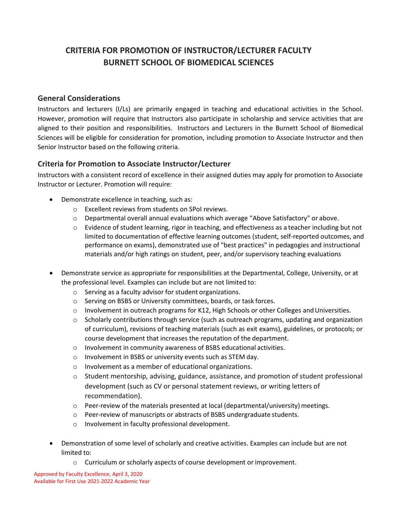## **CRITERIA FOR PROMOTION OF INSTRUCTOR/LECTURER FACULTY BURNETT SCHOOL OF BIOMEDICAL SCIENCES**

## **General Considerations**

Instructors and lecturers (I/Ls) are primarily engaged in teaching and educational activities in the School. However, promotion will require that Instructors also participate in scholarship and service activities that are aligned to their position and responsibilities. Instructors and Lecturers in the Burnett School of Biomedical Sciences will be eligible for consideration for promotion, including promotion to Associate Instructor and then Senior Instructor based on the following criteria.

## **Criteria for Promotion to Associate Instructor/Lecturer**

Instructors with a consistent record of excellence in their assigned duties may apply for promotion to Associate Instructor or Lecturer. Promotion will require:

- Demonstrate excellence in teaching, such as:
	- o Excellent reviews from students on SPoI reviews.
	- o Departmental overall annual evaluations which average "Above Satisfactory" or above.
	- $\circ$  Evidence of student learning, rigor in teaching, and effectiveness as a teacher including but not limited to documentation of effective learning outcomes (student, self-reported outcomes, and performance on exams), demonstrated use of "best practices" in pedagogies and instructional materials and/or high ratings on student, peer, and/or supervisory teaching evaluations
- Demonstrate service as appropriate for responsibilities at the Departmental, College, University, or at the professional level. Examples can include but are not limited to:
	- o Serving as a faculty advisor for student organizations.
	- o Serving on BSBS or University committees, boards, or task forces.
	- $\circ$  Involvement in outreach programs for K12, High Schools or other Colleges and Universities.
	- $\circ$  Scholarly contributions through service (such as outreach programs, updating and organization of curriculum), revisions of teaching materials (such as exit exams), guidelines, or protocols; or course development that increases the reputation of the department.
	- o Involvement in community awareness of BSBS educational activities.
	- o Involvement in BSBS or university events such as STEM day.
	- o Involvement as a member of educational organizations.
	- $\circ$  Student mentorship, advising, guidance, assistance, and promotion of student professional development (such as CV or personal statement reviews, or writing letters of recommendation).
	- $\circ$  Peer-review of the materials presented at local (departmental/university) meetings.
	- o Peer-review of manuscripts or abstracts of BSBS undergraduate students.
	- o Involvement in faculty professional development.
- Demonstration of some level of scholarly and creative activities. Examples can include but are not limited to:
	- o Curriculum or scholarly aspects of course development or improvement.